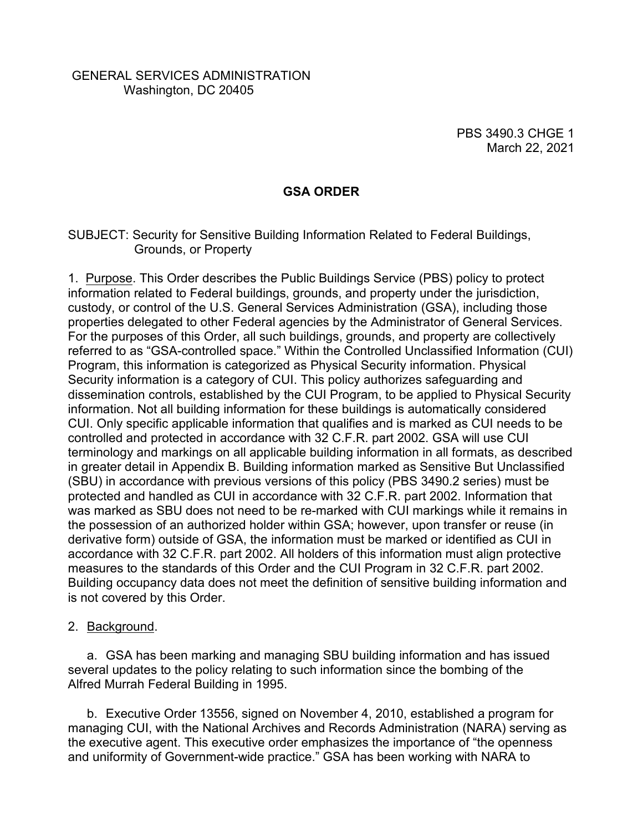## GENERAL SERVICES ADMINISTRATION Washington, DC 20405

PBS 3490.3 CHGE 1 March 22, 2021

## **GSA ORDER**

#### SUBJECT: Security for Sensitive Building Information Related to Federal Buildings, Grounds, or Property

1. Purpose. This Order describes the Public Buildings Service (PBS) policy to protect information related to Federal buildings, grounds, and property under the jurisdiction, custody, or control of the U.S. General Services Administration (GSA), including those properties delegated to other Federal agencies by the Administrator of General Services. For the purposes of this Order, all such buildings, grounds, and property are collectively referred to as "GSA-controlled space." Within the Controlled Unclassified Information (CUI) Program, this information is categorized as Physical Security information. Physical Security information is a category of CUI. This policy authorizes safeguarding and dissemination controls, established by the CUI Program, to be applied to Physical Security information. Not all building information for these buildings is automatically considered CUI. Only specific applicable information that qualifies and is marked as CUI needs to be controlled and protected in accordance with 32 C.F.R. part 2002. GSA will use CUI terminology and markings on all applicable building information in all formats, as described in greater detail in Appendix B. Building information marked as Sensitive But Unclassified (SBU) in accordance with previous versions of this policy (PBS 3490.2 series) must be protected and handled as CUI in accordance with 32 C.F.R. part 2002. Information that was marked as SBU does not need to be re-marked with CUI markings while it remains in the possession of an authorized holder within GSA; however, upon transfer or reuse (in derivative form) outside of GSA, the information must be marked or identified as CUI in accordance with 32 C.F.R. part 2002. All holders of this information must align protective measures to the standards of this Order and the CUI Program in 32 C.F.R. part 2002. Building occupancy data does not meet the definition of sensitive building information and is not covered by this Order.

#### 2. Background.

a. GSA has been marking and managing SBU building information and has issued several updates to the policy relating to such information since the bombing of the Alfred Murrah Federal Building in 1995.

b. [Executive Order 13556,](http://www.gpo.gov/fdsys/pkg/FR-2010-11-09/pdf/2010-28360.pdf) signed on November 4, 2010, established a program for managing CUI, with the National Archives and Records Administration (NARA) serving as the executive agent. This executive order emphasizes the importance of "the openness and uniformity of Government-wide practice." GSA has been working with NARA to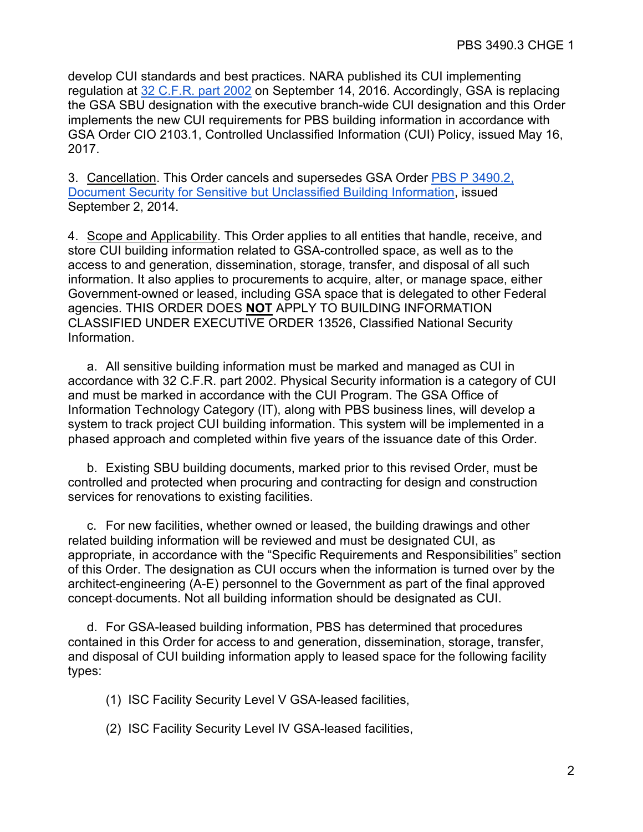develop CUI standards and best practices. NARA published its CUI implementing regulation at 32 C.F.R. part 2002 on September 14, 2016. Accordingly, GSA is replacing the GSA SBU designation with the executive branch-wide CUI designation and this Order implements the new CUI requirements for PBS building information in accordance with GSA Order CIO 2103.1, Controlled Unclassified Information (CUI) Policy, issued May 16, 2017.

3. Cancellation. This Order cancels and supersedes GSA Order [PBS P 3490.2,](https://insite.gsa.gov/portal/content/657310)  [Document Security for Sensitive but Unclassified Building Information,](https://insite.gsa.gov/portal/content/657310) issued September 2, 2014.

4. Scope and Applicability. This Order applies to all entities that handle, receive, and store CUI building information related to GSA-controlled space, as well as to the access to and generation, dissemination, storage, transfer, and disposal of all such information. It also applies to procurements to acquire, alter, or manage space, either Government-owned or leased, including GSA space that is delegated to other Federal agencies. THIS ORDER DOES **NOT** APPLY TO BUILDING INFORMATION CLASSIFIED UNDER EXECUTIVE ORDER 13526, Classified National Security Information.

a. All sensitive building information must be marked and managed as CUI in accordance with 32 C.F.R. part 2002. Physical Security information is a category of CUI and must be marked in accordance with the CUI Program. The GSA Office of Information Technology Category (IT), along with PBS business lines, will develop a system to track project CUI building information. This system will be implemented in a phased approach and completed within five years of the issuance date of this Order.

b. Existing SBU building documents, marked prior to this revised Order, must be controlled and protected when procuring and contracting for design and construction services for renovations to existing facilities.

c. For new facilities, whether owned or leased, the building drawings and other related building information will be reviewed and must be designated CUI, as appropriate, in accordance with the "Specific Requirements and Responsibilities" section of this Order. The designation as CUI occurs when the information is turned over by the architect-engineering (A-E) personnel to the Government as part of the final approved concept documents. Not all building information should be designated as CUI.

d. For GSA-leased building information, PBS has determined that procedures contained in this Order for access to and generation, dissemination, storage, transfer, and disposal of CUI building information apply to leased space for the following facility types:

- (1) ISC Facility Security Level V GSA-leased facilities,
- (2) ISC Facility Security Level IV GSA-leased facilities,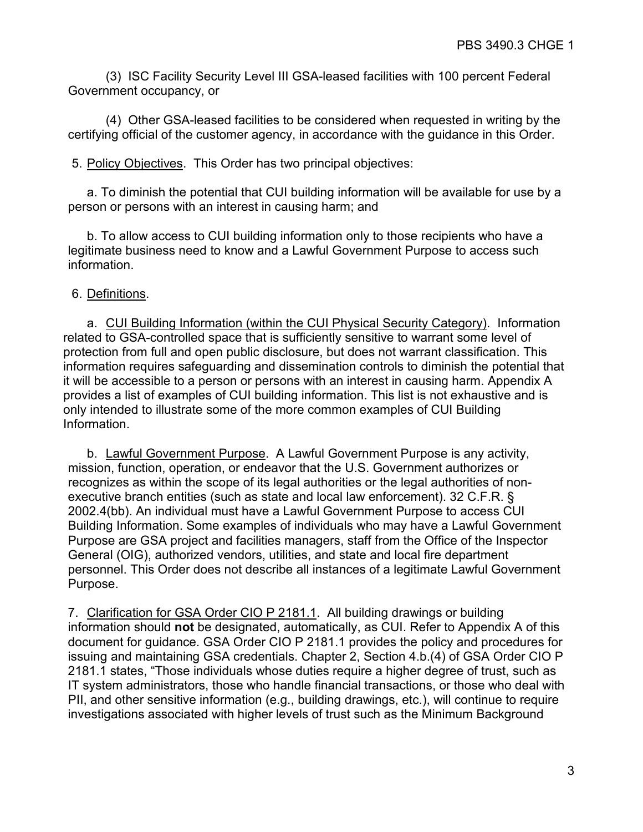(3) ISC Facility Security Level III GSA-leased facilities with 100 percent Federal Government occupancy, or

(4) Other GSA-leased facilities to be considered when requested in writing by the certifying official of the customer agency, in accordance with the guidance in this Order.

5. Policy Objectives. This Order has two principal objectives:

a. To diminish the potential that CUI building information will be available for use by a person or persons with an interest in causing harm; and

b. To allow access to CUI building information only to those recipients who have a legitimate business need to know and a Lawful Government Purpose to access such information.

6. Definitions.

a. CUI Building Information (within the CUI Physical Security Category). Information related to GSA-controlled space that is sufficiently sensitive to warrant some level of protection from full and open public disclosure, but does not warrant classification. This information requires safeguarding and dissemination controls to diminish the potential that it will be accessible to a person or persons with an interest in causing harm. Appendix A provides a list of examples of CUI building information. This list is not exhaustive and is only intended to illustrate some of the more common examples of CUI Building Information.

b. Lawful Government Purpose. A Lawful Government Purpose is any activity, mission, function, operation, or endeavor that the U.S. Government authorizes or recognizes as within the scope of its legal authorities or the legal authorities of nonexecutive branch entities (such as state and local law enforcement). 32 C.F.R. § 2002.4(bb). An individual must have a Lawful Government Purpose to access CUI Building Information. Some examples of individuals who may have a Lawful Government Purpose are GSA project and facilities managers, staff from the Office of the Inspector General (OIG), authorized vendors, utilities, and state and local fire department personnel. This Order does not describe all instances of a legitimate Lawful Government Purpose.

7. Clarification for GSA Order CIO P 2181.1. All building drawings or building information should **not** be designated, automatically, as CUI. Refer to Appendix A of this document for guidance. GSA Order CIO P 2181.1 provides the policy and procedures for issuing and maintaining GSA credentials. Chapter 2, Section 4.b.(4) of GSA Order CIO P 2181.1 states, "Those individuals whose duties require a higher degree of trust, such as IT system administrators, those who handle financial transactions, or those who deal with PII, and other sensitive information (e.g., building drawings, etc.), will continue to require investigations associated with higher levels of trust such as the Minimum Background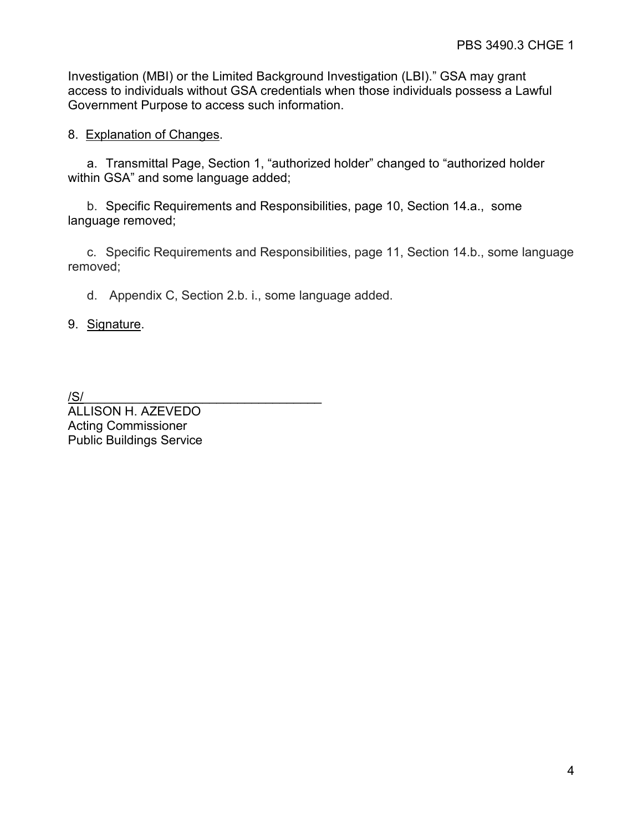Investigation (MBI) or the Limited Background Investigation (LBI)." GSA may grant access to individuals without GSA credentials when those individuals possess a Lawful Government Purpose to access such information.

## 8. Explanation of Changes.

a. Transmittal Page, Section 1, "authorized holder" changed to "authorized holder within GSA" and some language added;

b. Specific Requirements and Responsibilities, page 10, Section 14.a., some language removed;

c. Specific Requirements and Responsibilities, page 11, Section 14.b., some language removed;

d. Appendix C, Section 2.b. i., some language added.

9. Signature.

/S/\_\_\_\_\_\_\_\_\_\_\_\_\_\_\_\_\_\_\_\_\_\_\_\_\_\_\_\_\_\_\_\_\_\_

ALLISON H. AZEVEDO Acting Commissioner Public Buildings Service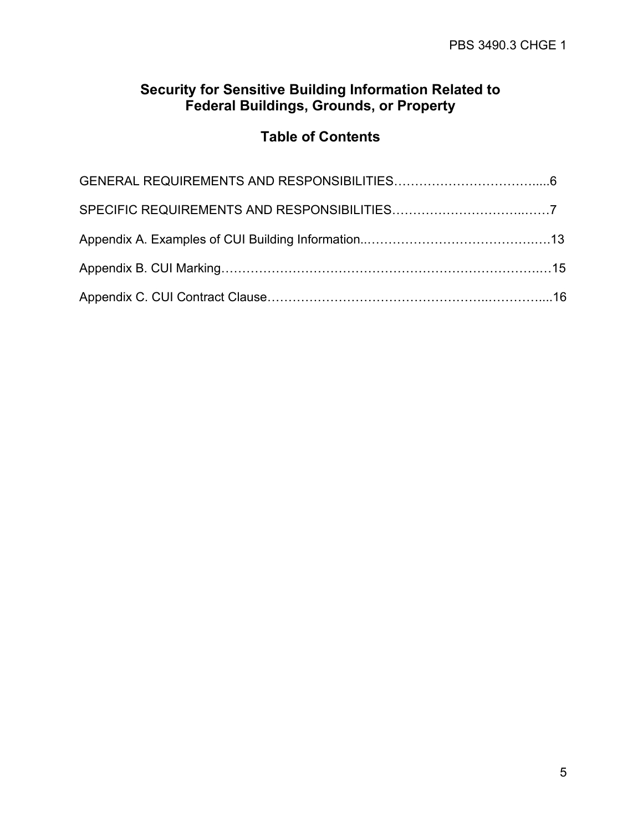# **Security for Sensitive Building Information Related to Federal Buildings, Grounds, or Property**

# **Table of Contents**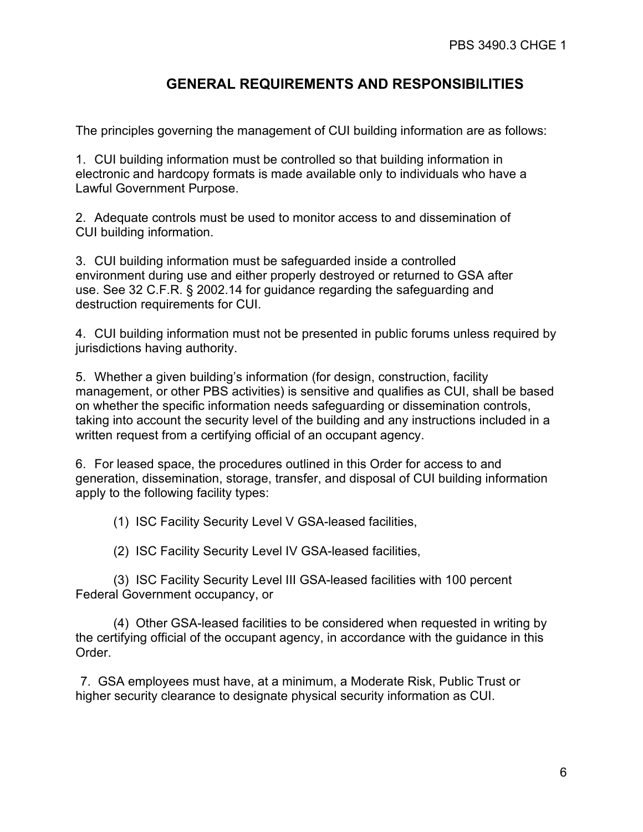# **GENERAL REQUIREMENTS AND RESPONSIBILITIES**

The principles governing the management of CUI building information are as follows:

1. CUI building information must be controlled so that building information in electronic and hardcopy formats is made available only to individuals who have a Lawful Government Purpose.

2. Adequate controls must be used to monitor access to and dissemination of CUI building information.

3. CUI building information must be safeguarded inside a controlled environment during use and either properly destroyed or returned to GSA after use. See 32 C.F.R. § 2002.14 for guidance regarding the safeguarding and destruction requirements for CUI.

4. CUI building information must not be presented in public forums unless required by jurisdictions having authority.

5. Whether a given building's information (for design, construction, facility management, or other PBS activities) is sensitive and qualifies as CUI, shall be based on whether the specific information needs safeguarding or dissemination controls, taking into account the security level of the building and any instructions included in a written request from a certifying official of an occupant agency.

6. For leased space, the procedures outlined in this Order for access to and generation, dissemination, storage, transfer, and disposal of CUI building information apply to the following facility types:

(1) ISC Facility Security Level V GSA-leased facilities,

(2) ISC Facility Security Level IV GSA-leased facilities,

(3) ISC Facility Security Level III GSA-leased facilities with 100 percent Federal Government occupancy, or

(4) Other GSA-leased facilities to be considered when requested in writing by the certifying official of the occupant agency, in accordance with the guidance in this Order.

7. GSA employees must have, at a minimum, a Moderate Risk, Public Trust or higher security clearance to designate physical security information as CUI.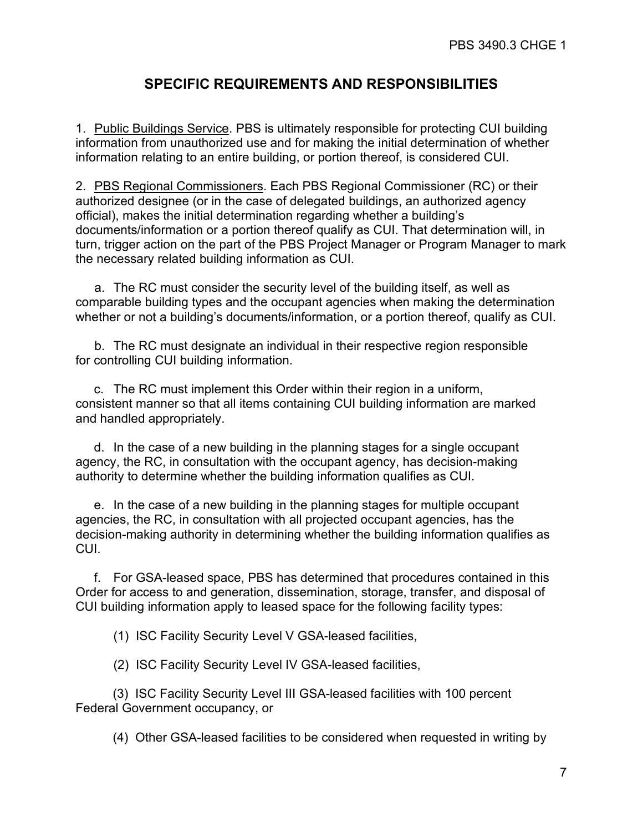# **SPECIFIC REQUIREMENTS AND RESPONSIBILITIES**

1. Public Buildings Service. PBS is ultimately responsible for protecting CUI building information from unauthorized use and for making the initial determination of whether information relating to an entire building, or portion thereof, is considered CUI.

2. PBS Regional Commissioners. Each PBS Regional Commissioner (RC) or their authorized designee (or in the case of delegated buildings, an authorized agency official), makes the initial determination regarding whether a building's documents/information or a portion thereof qualify as CUI. That determination will, in turn, trigger action on the part of the PBS Project Manager or Program Manager to mark the necessary related building information as CUI.

a. The RC must consider the security level of the building itself, as well as comparable building types and the occupant agencies when making the determination whether or not a building's documents/information, or a portion thereof, qualify as CUI.

b. The RC must designate an individual in their respective region responsible for controlling CUI building information.

c. The RC must implement this Order within their region in a uniform, consistent manner so that all items containing CUI building information are marked and handled appropriately.

d. In the case of a new building in the planning stages for a single occupant agency, the RC, in consultation with the occupant agency, has decision-making authority to determine whether the building information qualifies as CUI.

e. In the case of a new building in the planning stages for multiple occupant agencies, the RC, in consultation with all projected occupant agencies, has the decision-making authority in determining whether the building information qualifies as CUI.

f. For GSA-leased space, PBS has determined that procedures contained in this Order for access to and generation, dissemination, storage, transfer, and disposal of CUI building information apply to leased space for the following facility types:

(1) ISC Facility Security Level V GSA-leased facilities,

(2) ISC Facility Security Level IV GSA-leased facilities,

(3) ISC Facility Security Level III GSA-leased facilities with 100 percent Federal Government occupancy, or

(4) Other GSA-leased facilities to be considered when requested in writing by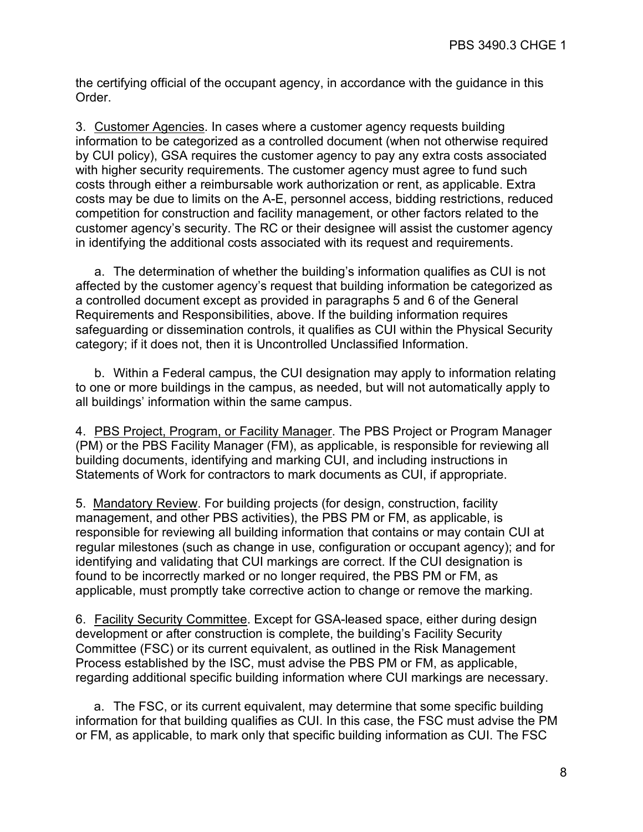the certifying official of the occupant agency, in accordance with the guidance in this Order.

3. Customer Agencies. In cases where a customer agency requests building information to be categorized as a controlled document (when not otherwise required by CUI policy), GSA requires the customer agency to pay any extra costs associated with higher security requirements. The customer agency must agree to fund such costs through either a reimbursable work authorization or rent, as applicable. Extra costs may be due to limits on the A-E, personnel access, bidding restrictions, reduced competition for construction and facility management, or other factors related to the customer agency's security. The RC or their designee will assist the customer agency in identifying the additional costs associated with its request and requirements.

a. The determination of whether the building's information qualifies as CUI is not affected by the customer agency's request that building information be categorized as a controlled document except as provided in paragraphs 5 and 6 of the General Requirements and Responsibilities, above. If the building information requires safeguarding or dissemination controls, it qualifies as CUI within the Physical Security category; if it does not, then it is Uncontrolled Unclassified Information.

b. Within a Federal campus, the CUI designation may apply to information relating to one or more buildings in the campus, as needed, but will not automatically apply to all buildings' information within the same campus.

4. PBS Project, Program, or Facility Manager. The PBS Project or Program Manager (PM) or the PBS Facility Manager (FM), as applicable, is responsible for reviewing all building documents, identifying and marking CUI, and including instructions in Statements of Work for contractors to mark documents as CUI, if appropriate.

5. Mandatory Review. For building projects (for design, construction, facility management, and other PBS activities), the PBS PM or FM, as applicable, is responsible for reviewing all building information that contains or may contain CUI at regular milestones (such as change in use, configuration or occupant agency); and for identifying and validating that CUI markings are correct. If the CUI designation is found to be incorrectly marked or no longer required, the PBS PM or FM, as applicable, must promptly take corrective action to change or remove the marking.

6. Facility Security Committee. Except for GSA-leased space, either during design development or after construction is complete, the building's Facility Security Committee (FSC) or its current equivalent, as outlined in the Risk Management Process established by the ISC, must advise the PBS PM or FM, as applicable, regarding additional specific building information where CUI markings are necessary.

a. The FSC, or its current equivalent, may determine that some specific building information for that building qualifies as CUI. In this case, the FSC must advise the PM or FM, as applicable, to mark only that specific building information as CUI. The FSC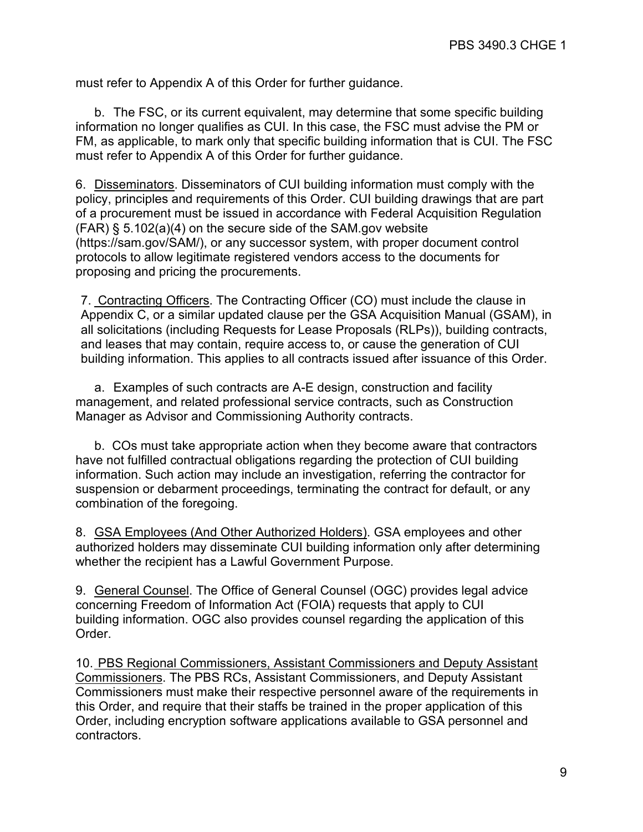must refer to Appendix A of this Order for further guidance.

b. The FSC, or its current equivalent, may determine that some specific building information no longer qualifies as CUI. In this case, the FSC must advise the PM or FM, as applicable, to mark only that specific building information that is CUI. The FSC must refer to Appendix A of this Order for further guidance.

6. Disseminators. Disseminators of CUI building information must comply with the policy, principles and requirements of this Order. CUI building drawings that are part of a procurement must be issued in accordance with Federal Acquisition Regulation (FAR) § 5.102(a)(4) on the secure side of the SAM.gov website (https://sam.gov/SAM/), or any successor system, with proper document control protocols to allow legitimate registered vendors access to the documents for proposing and pricing the procurements.

7. Contracting Officers. The Contracting Officer (CO) must include the clause in Appendix C, or a similar updated clause per the GSA Acquisition Manual (GSAM), in all solicitations (including Requests for Lease Proposals (RLPs)), building contracts, and leases that may contain, require access to, or cause the generation of CUI building information. This applies to all contracts issued after issuance of this Order.

a. Examples of such contracts are A-E design, construction and facility management, and related professional service contracts, such as Construction Manager as Advisor and Commissioning Authority contracts.

b. COs must take appropriate action when they become aware that contractors have not fulfilled contractual obligations regarding the protection of CUI building information. Such action may include an investigation, referring the contractor for suspension or debarment proceedings, terminating the contract for default, or any combination of the foregoing.

8. GSA Employees (And Other Authorized Holders). GSA employees and other authorized holders may disseminate CUI building information only after determining whether the recipient has a Lawful Government Purpose.

9. General Counsel. The Office of General Counsel (OGC) provides legal advice concerning Freedom of Information Act (FOIA) requests that apply to CUI building information. OGC also provides counsel regarding the application of this Order.

10. PBS Regional Commissioners, Assistant Commissioners and Deputy Assistant Commissioners. The PBS RCs, Assistant Commissioners, and Deputy Assistant Commissioners must make their respective personnel aware of the requirements in this Order, and require that their staffs be trained in the proper application of this Order, including encryption software applications available to GSA personnel and contractors.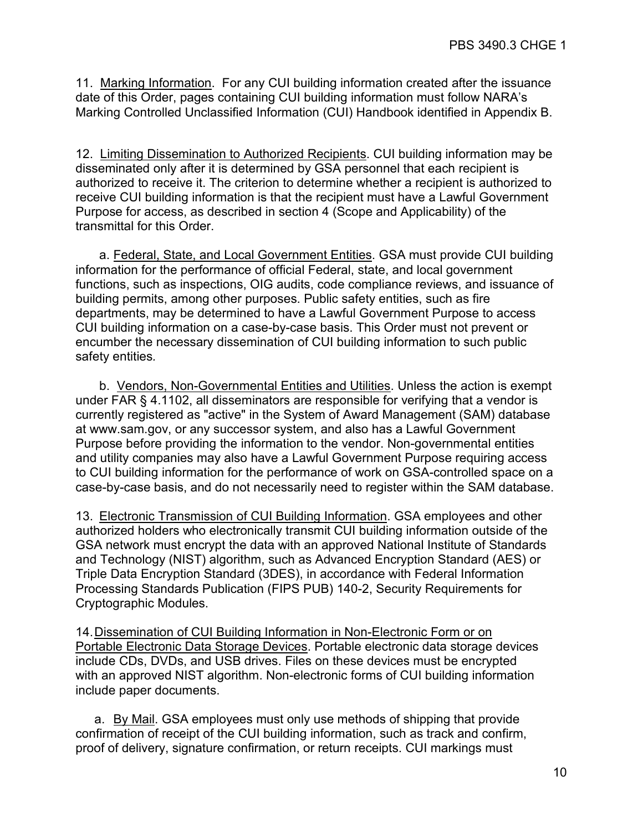11. Marking Information. For any CUI building information created after the issuance date of this Order, pages containing CUI building information must follow NARA's Marking Controlled Unclassified Information (CUI) Handbook identified in Appendix B.

12. Limiting Dissemination to Authorized Recipients. CUI building information may be disseminated only after it is determined by GSA personnel that each recipient is authorized to receive it. The criterion to determine whether a recipient is authorized to receive CUI building information is that the recipient must have a Lawful Government Purpose for access, as described in section 4 (Scope and Applicability) of the transmittal for this Order.

a. Federal, State, and Local Government Entities. GSA must provide CUI building information for the performance of official Federal, state, and local government functions, such as inspections, OIG audits, code compliance reviews, and issuance of building permits, among other purposes. Public safety entities, such as fire departments, may be determined to have a Lawful Government Purpose to access CUI building information on a case-by-case basis. This Order must not prevent or encumber the necessary dissemination of CUI building information to such public safety entities*.*

b. Vendors, Non-Governmental Entities and Utilities. Unless the action is exempt under FAR § 4.1102, all disseminators are responsible for verifying that a vendor is currently registered as "active" in the System of Award Management (SAM) dat[abase](http://www.sam.gov/)  [at www.sam.gov,](http://www.sam.gov/) or any successor system, and also has a Lawful Government Purpose before providing the information to the vendor. Non-governmental entities and utility companies may also have a Lawful Government Purpose requiring access to CUI building information for the performance of work on GSA-controlled space on a case-by-case basis, and do not necessarily need to register within the SAM database.

13. Electronic Transmission of CUI Building Information. GSA employees and other authorized holders who electronically transmit CUI building information outside of the GSA network must encrypt the data with an approved National Institute of Standards and Technology (NIST) algorithm, such as Advanced Encryption Standard (AES) or Triple Data Encryption Standard (3DES), in accordance with Federal Information Processing Standards Publication (FIPS PUB) 140-2, Security Requirements for Cryptographic Modules.

14.Dissemination of CUI Building Information in Non-Electronic Form or on Portable Electronic Data Storage Devices. Portable electronic data storage devices include CDs, DVDs, and USB drives. Files on these devices must be encrypted with an approved NIST algorithm. Non-electronic forms of CUI building information include paper documents.

a. By Mail. GSA employees must only use methods of shipping that provide confirmation of receipt of the CUI building information, such as track and confirm, proof of delivery, signature confirmation, or return receipts. CUI markings must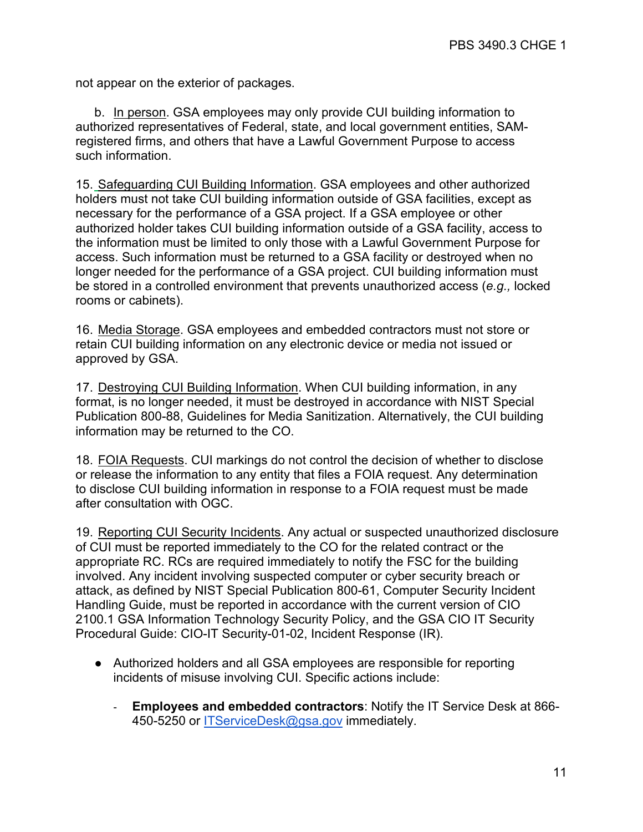not appear on the exterior of packages.

b. In person. GSA employees may only provide CUI building information to authorized representatives of Federal, state, and local government entities, SAMregistered firms, and others that have a Lawful Government Purpose to access such information.

15. Safeguarding CUI Building Information. GSA employees and other authorized holders must not take CUI building information outside of GSA facilities, except as necessary for the performance of a GSA project. If a GSA employee or other authorized holder takes CUI building information outside of a GSA facility, access to the information must be limited to only those with a Lawful Government Purpose for access. Such information must be returned to a GSA facility or destroyed when no longer needed for the performance of a GSA project. CUI building information must be stored in a controlled environment that prevents unauthorized access (*e.g.,* locked rooms or cabinets).

16. Media Storage. GSA employees and embedded contractors must not store or retain CUI building information on any electronic device or media not issued or approved by GSA.

17. Destroying CUI Building Information. When CUI building information, in any format, is no longer needed, it must be destroyed in accordance with NIST Special Publication 800-88, Guidelines for Media Sanitization. Alternatively, the CUI building information may be returned to the CO.

18. FOIA Requests. CUI markings do not control the decision of whether to disclose or release the information to any entity that files a FOIA request. Any determination to disclose CUI building information in response to a FOIA request must be made after consultation with OGC.

19. Reporting CUI Security Incidents. Any actual or suspected unauthorized disclosure of CUI must be reported immediately to the CO for the related contract or the appropriate RC. RCs are required immediately to notify the FSC for the building involved. Any incident involving suspected computer or cyber security breach or attack, as defined by NIST Special Publication 800-61, Computer Security Incident Handling Guide, must be reported in accordance with the current version of CIO 2100.1 GSA Information Technology Security Policy, and the GSA CIO IT Security Procedural Guide: CIO-IT Security-01-02, Incident Response (IR).

- Authorized holders and all GSA employees are responsible for reporting incidents of misuse involving CUI. Specific actions include:
	- **Employees and embedded contractors**: Notify the IT Service Desk at 866- 450-5250 or [ITServiceDesk@gsa.gov](mailto:itservicedesk@gsa.gov) immediately.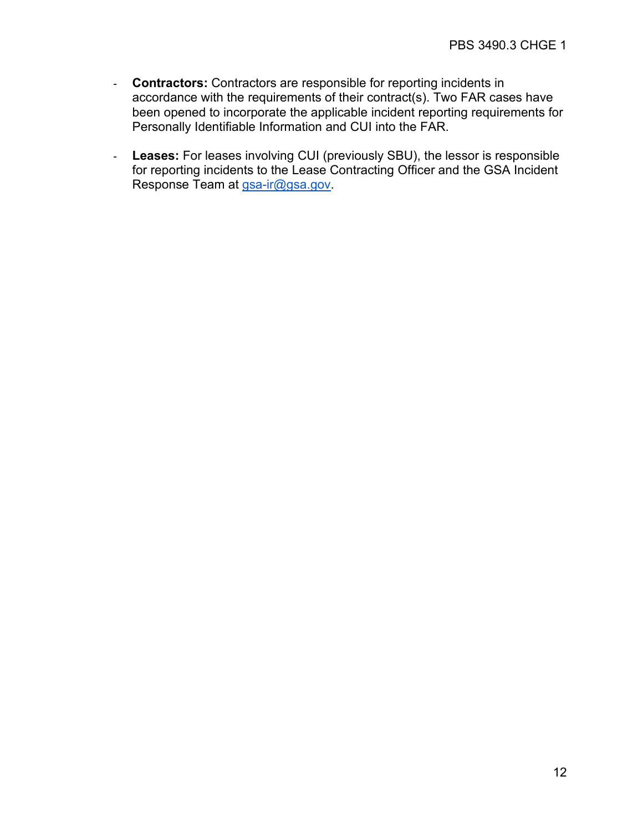- **Contractors:** Contractors are responsible for reporting incidents in accordance with the requirements of their contract(s). Two FAR cases have been opened to incorporate the applicable incident reporting requirements for Personally Identifiable Information and CUI into the FAR.
- **Leases:** For leases involving CUI (previously SBU), the lessor is responsible for reporting incidents to the Lease Contracting Officer and the GSA Incident Response Team at [gsa-ir@gsa.gov.](mailto:gsa-ir@gsa.gov)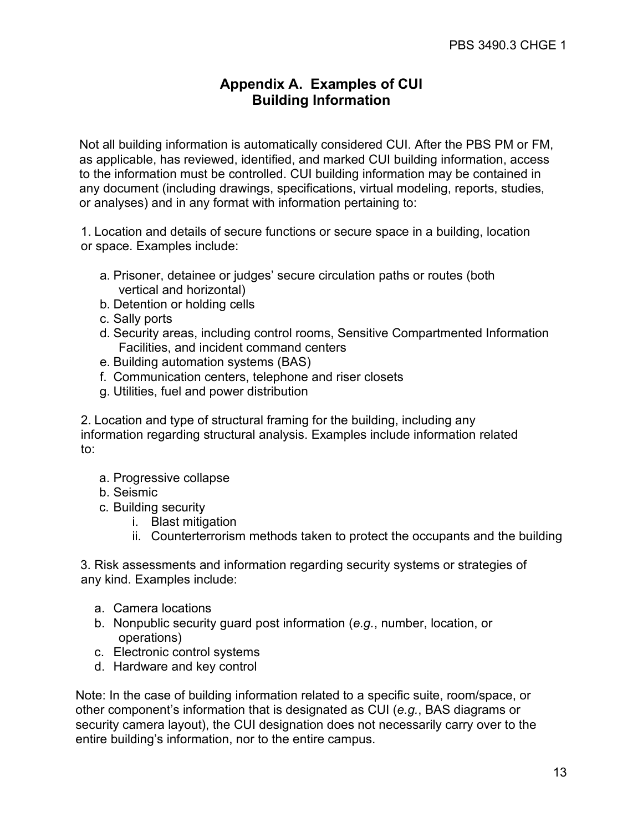# **Appendix A. Examples of CUI Building Information**

Not all building information is automatically considered CUI. After the PBS PM or FM, as applicable, has reviewed, identified, and marked CUI building information, access to the information must be controlled. CUI building information may be contained in any document (including drawings, specifications, virtual modeling, reports, studies, or analyses) and in any format with information pertaining to:

1. Location and details of secure functions or secure space in a building, location or space. Examples include:

- a. Prisoner, detainee or judges' secure circulation paths or routes (both vertical and horizontal)
- b. Detention or holding cells
- c. Sally ports
- d. Security areas, including control rooms, Sensitive Compartmented Information Facilities, and incident command centers
- e. Building automation systems (BAS)
- f. Communication centers, telephone and riser closets
- g. Utilities, fuel and power distribution

2. Location and type of structural framing for the building, including any information regarding structural analysis. Examples include information related to:

- a. Progressive collapse
- b. Seismic
- c. Building security
	- i. Blast mitigation
	- ii. Counterterrorism methods taken to protect the occupants and the building

3. Risk assessments and information regarding security systems or strategies of any kind. Examples include:

- a. Camera locations
- b. Nonpublic security guard post information (*e.g.*, number, location, or operations)
- c. Electronic control systems
- d. Hardware and key control

Note: In the case of building information related to a specific suite, room/space, or other component's information that is designated as CUI (*e.g.*, BAS diagrams or security camera layout), the CUI designation does not necessarily carry over to the entire building's information, nor to the entire campus.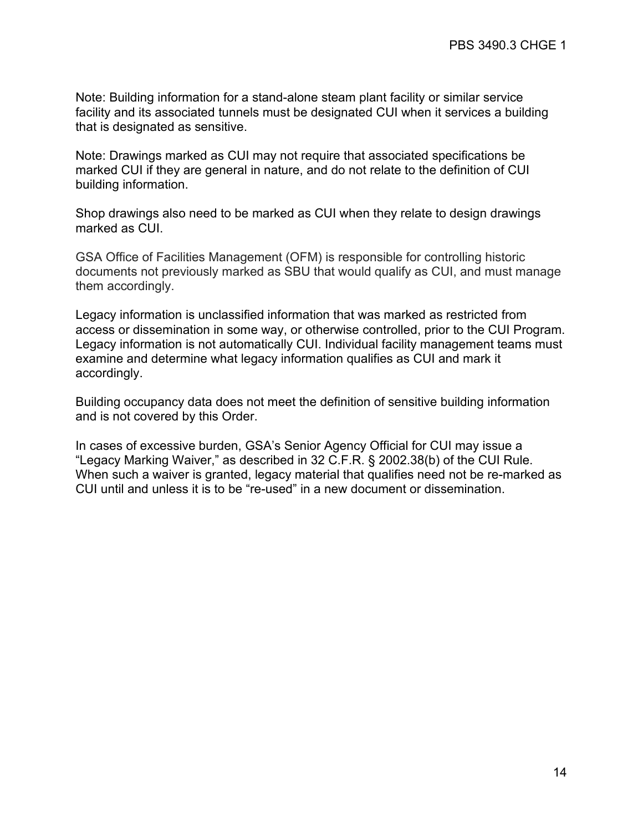Note: Building information for a stand-alone steam plant facility or similar service facility and its associated tunnels must be designated CUI when it services a building that is designated as sensitive.

Note: Drawings marked as CUI may not require that associated specifications be marked CUI if they are general in nature, and do not relate to the definition of CUI building information.

Shop drawings also need to be marked as CUI when they relate to design drawings marked as CUI.

GSA Office of Facilities Management (OFM) is responsible for controlling historic documents not previously marked as SBU that would qualify as CUI, and must manage them accordingly.

Legacy information is unclassified information that was marked as restricted from access or dissemination in some way, or otherwise controlled, prior to the CUI Program. Legacy information is not automatically CUI. Individual facility management teams must examine and determine what legacy information qualifies as CUI and mark it accordingly.

Building occupancy data does not meet the definition of sensitive building information and is not covered by this Order.

In cases of excessive burden, GSA's Senior Agency Official for CUI may issue a "Legacy Marking Waiver," as described in 32 C.F.R. § 2002.38(b) of the CUI Rule. When such a waiver is granted, legacy material that qualifies need not be re-marked as CUI until and unless it is to be "re-used" in a new document or dissemination.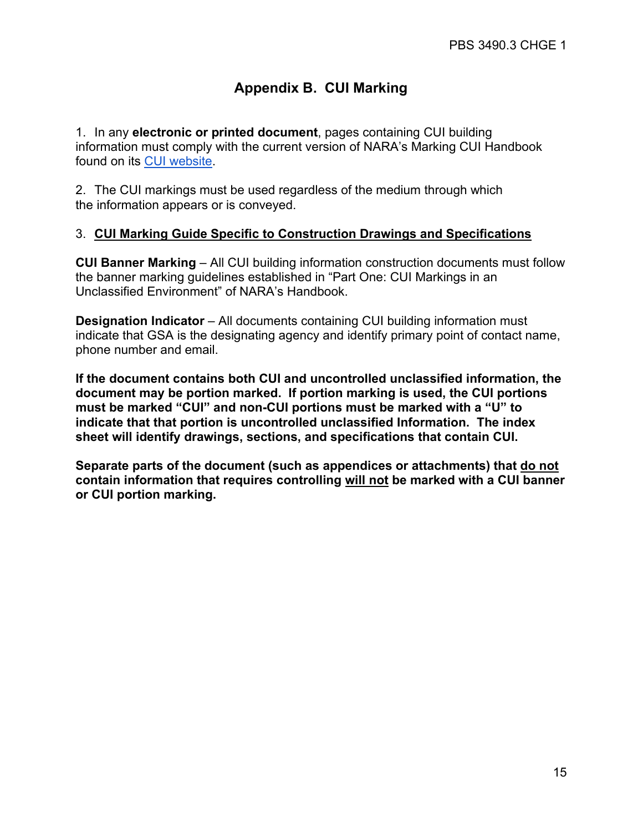# **Appendix B. CUI Marking**

1. In any **electronic or printed document**, pages containing CUI building information must comply with the current version of NARA's Marking [CUI Handbook](https://www.archives.gov/files/cui/20161206-cui-marking-handbook-v1-1.pdf) found on its [CUI website.](https://www.archives.gov/cui)

2. The CUI markings must be used regardless of the medium through which the information appears or is conveyed.

## 3. **CUI Marking Guide Specific to Construction Drawings and Specifications**

**CUI Banner Marking** – All CUI building information construction documents must follow the banner marking guidelines established in "Part One: CUI Markings in an Unclassified Environment" of NARA's Handbook.

**Designation Indicator** – All documents containing CUI building information must indicate that GSA is the designating agency and identify primary point of contact name, phone number and email.

**If the document contains both CUI and uncontrolled unclassified information, the document may be portion marked. If portion marking is used, the CUI portions must be marked "CUI" and non-CUI portions must be marked with a "U" to indicate that that portion is uncontrolled unclassified Information. The index sheet will identify drawings, sections, and specifications that contain CUI.** 

**Separate parts of the document (such as appendices or attachments) that do not contain information that requires controlling will not be marked with a CUI banner or CUI portion marking.**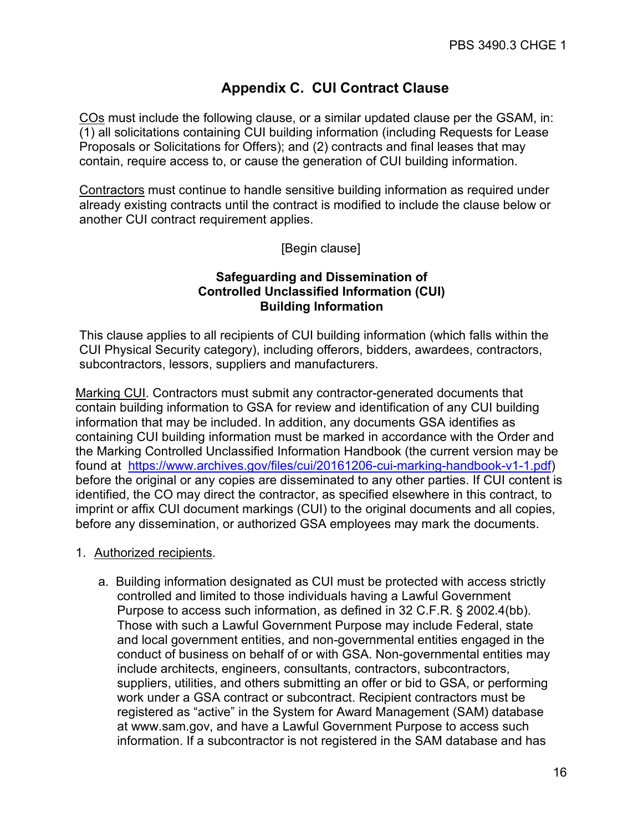# **Appendix C. CUI Contract Clause**

COs must include the following clause, or a similar updated clause per the GSAM, in: (1) all solicitations containing CUI building information (including Requests for Lease Proposals or Solicitations for Offers); and (2) contracts and final leases that may contain, require access to, or cause the generation of CUI building information.

Contractors must continue to handle sensitive building information as required under already existing contracts until the contract is modified to include the clause below or another CUI contract requirement applies.

[Begin clause]

## **Safeguarding and Dissemination of Controlled Unclassified Information (CUI) Building Information**

This clause applies to all recipients of CUI building information (which falls within the CUI Physical Security category), including offerors, bidders, awardees, contractors, subcontractors, lessors, suppliers and manufacturers.

Marking CUI. Contractors must submit any contractor-generated documents that contain building information to GSA for review and identification of any CUI building information that may be included. In addition, any documents GSA identifies as containing CUI building information must be marked in accordance with the Order and the Marking Controlled Unclassified Information Handbook (the current version may be found at [https://www.archives.gov/files/cui/20161206-cui-marking-handbook-v1-1.pdf\)](https://www.archives.gov/files/cui/20161206-cui-marking-handbook-v1-1.pdf) before the original or any copies are disseminated to any other parties. If CUI content is identified, the CO may direct the contractor, as specified elsewhere in this contract, to imprint or affix CUI document markings (CUI) to the original documents and all copies, before any dissemination, or authorized GSA employees may mark the documents.

## 1. Authorized recipients.

a. Building information designated as CUI must be protected with access strictly controlled and limited to those individuals having a Lawful Government Purpose to access such information, as defined in 32 C.F.R. § 2002.4(bb). Those with such a Lawful Government Purpose may include Federal, state and local government entities, and non-governmental entities engaged in the conduct of business on behalf of or with GSA. Non-governmental entities may include architects, engineers, consultants, contractors, subcontractors, suppliers, utilities, and others submitting an offer or bid to GSA, or performing work under a GSA contract or subcontract. Recipient contractors must be registered as "active" in the System for Award Management (SAM) database at [www.sam.gov,](http://www.sam.gov/) and have a Lawful Government Purpose to access such information. If a subcontractor is not registered in the SAM database and has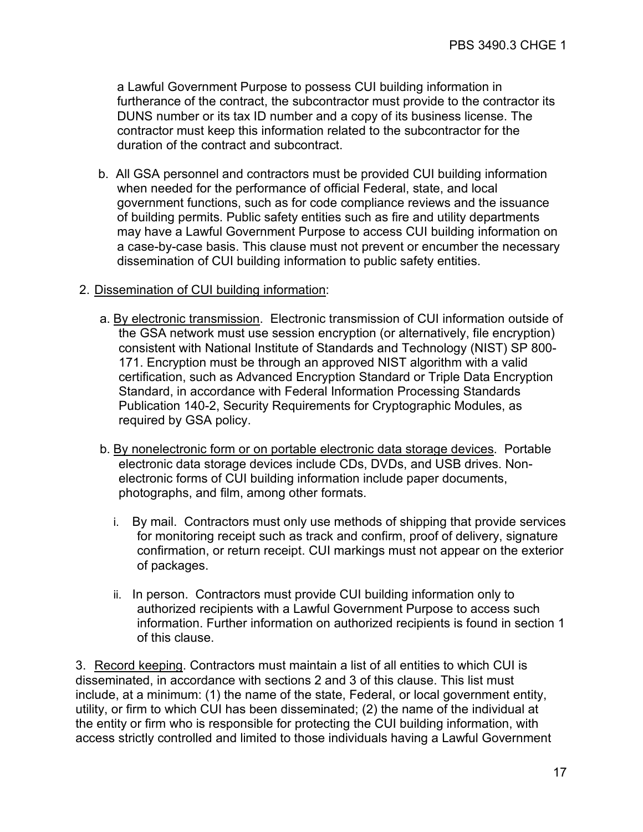a Lawful Government Purpose to possess CUI building information in furtherance of the contract, the subcontractor must provide to the contractor its DUNS number or its tax ID number and a copy of its business license. The contractor must keep this information related to the subcontractor for the duration of the contract and subcontract.

b. All GSA personnel and contractors must be provided CUI building information when needed for the performance of official Federal, state, and local government functions, such as for code compliance reviews and the issuance of building permits. Public safety entities such as fire and utility departments may have a Lawful Government Purpose to access CUI building information on a case-by-case basis. This clause must not prevent or encumber the necessary dissemination of CUI building information to public safety entities.

## 2. Dissemination of CUI building information:

- a. By electronic transmission. Electronic transmission of CUI information outside of the GSA network must use session encryption (or alternatively, file encryption) consistent with National Institute of Standards and Technology (NIST) SP 800- 171. Encryption must be through an approved NIST algorithm with a valid certification, such as Advanced Encryption Standard or Triple Data Encryption Standard, in accordance with Federal Information Processing Standards Publication 140-2, Security Requirements for Cryptographic Modules, as required by GSA policy.
- b. By nonelectronic form or on portable electronic data storage devices. Portable electronic data storage devices include CDs, DVDs, and USB drives. Nonelectronic forms of CUI building information include paper documents, photographs, and film, among other formats.
	- i. By mail. Contractors must only use methods of shipping that provide services for monitoring receipt such as track and confirm, proof of delivery, signature confirmation, or return receipt. CUI markings must not appear on the exterior of packages.
	- ii. In person. Contractors must provide CUI building information only to authorized recipients with a Lawful Government Purpose to access such information. Further information on authorized recipients is found in section 1 of this clause.

3. Record keeping. Contractors must maintain a list of all entities to which CUI is disseminated, in accordance with sections 2 and 3 of this clause. This list must include, at a minimum: (1) the name of the state, Federal, or local government entity, utility, or firm to which CUI has been disseminated; (2) the name of the individual at the entity or firm who is responsible for protecting the CUI building information, with access strictly controlled and limited to those individuals having a Lawful Government